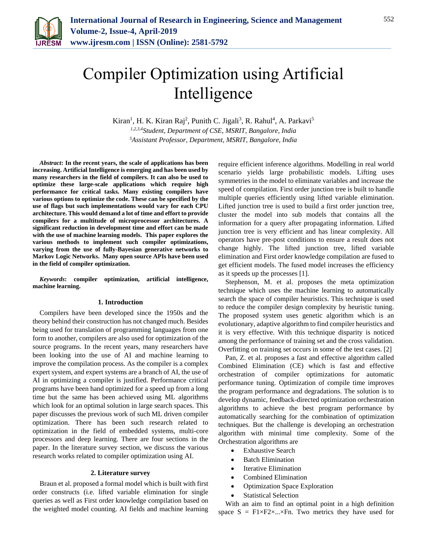

# Compiler Optimization using Artificial Intelligence

Kiran<sup>1</sup>, H. K. Kiran Raj<sup>2</sup>, Punith C. Jigali<sup>3</sup>, R. Rahul<sup>4</sup>, A. Parkavi<sup>5</sup> *1,2,3,4Student, Department of CSE, MSRIT, Bangalore, India 5Assistant Professor, Department, MSRIT, Bangalore, India*

*Abstract***: In the recent years, the scale of applications has been increasing. Artificial Intelligence is emerging and has been used by many researchers in the field of compilers. It can also be used to optimize these large-scale applications which require high performance for critical tasks. Many existing compilers have various options to optimize the code. These can be specified by the use of flags but such implementations would vary for each CPU architecture. This would demand a lot of time and effort to provide compilers for a multitude of microprocessor architectures. A significant reduction in development time and effort can be made with the use of machine learning models. This paper explores the various methods to implement such compiler optimizations, varying from the use of fully-Bayesian generative networks to Markov Logic Networks. Many open source APIs have been used in the field of compiler optimization.**

*Keywords***: compiler optimization, artificial intelligence, machine learning.**

### **1. Introduction**

Compilers have been developed since the 1950s and the theory behind their construction has not changed much. Besides being used for translation of programming languages from one form to another, compilers are also used for optimization of the source programs. In the recent years, many researchers have been looking into the use of AI and machine learning to improve the compilation process. As the compiler is a complex expert system, and expert systems are a branch of AI, the use of AI in optimizing a compiler is justified. Performance critical programs have been hand optimized for a speed up from a long time but the same has been achieved using ML algorithms which look for an optimal solution in large search spaces. This paper discusses the previous work of such ML driven compiler optimization. There has been such research related to optimization in the field of embedded systems, multi-core processors and deep learning. There are four sections in the paper. In the literature survey section, we discuss the various research works related to compiler optimization using AI.

### **2. Literature survey**

Braun et al. proposed a formal model which is built with first order constructs (i.e. lifted variable elimination for single queries as well as First order knowledge compilation based on the weighted model counting. AI fields and machine learning require efficient inference algorithms. Modelling in real world scenario yields large probabilistic models. Lifting uses symmetries in the model to eliminate variables and increase the speed of compilation. First order junction tree is built to handle multiple queries efficiently using lifted variable elimination. Lifted junction tree is used to build a first order junction tree, cluster the model into sub models that contains all the information for a query after propagating information. Lifted junction tree is very efficient and has linear complexity. All operators have pre-post conditions to ensure a result does not change highly. The lifted junction tree, lifted variable elimination and First order knowledge compilation are fused to get efficient models. The fused model increases the efficiency as it speeds up the processes [1].

Stephenson, M. et al. proposes the meta optimization technique which uses the machine learning to automatically search the space of compiler heuristics. This technique is used to reduce the compiler design complexity by heuristic tuning. The proposed system uses genetic algorithm which is an evolutionary, adaptive algorithm to find compiler heuristics and it is very effective. With this technique disparity is noticed among the performance of training set and the cross validation. Overfitting on training set occurs in some of the test cases. [2]

Pan, Z. et al. proposes a fast and effective algorithm called Combined Elimination (CE) which is fast and effective orchestration of compiler optimizations for automatic performance tuning. Optimization of compile time improves the program performance and degradations. The solution is to develop dynamic, feedback-directed optimization orchestration algorithms to achieve the best program performance by automatically searching for the combination of optimization techniques. But the challenge is developing an orchestration algorithm with minimal time complexity. Some of the Orchestration algorithms are

- Exhaustive Search
- Batch Elimination
- Iterative Elimination
- Combined Elimination
- Optimization Space Exploration
- Statistical Selection

With an aim to find an optimal point in a high definition space  $S = F1 \times F2 \times ... \times Fn$ . Two metrics they have used for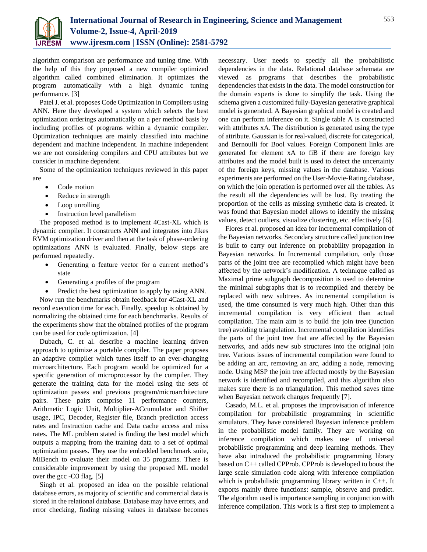

algorithm comparison are performance and tuning time. With the help of this they proposed a new compiler optimized algorithm called combined elimination. It optimizes the program automatically with a high dynamic tuning performance. [3]

Patel J. et al. proposes Code Optimization in Compilers using ANN. Here they developed a system which selects the best optimization orderings automatically on a per method basis by including profiles of programs within a dynamic compiler. Optimization techniques are mainly classified into machine dependent and machine independent. In machine independent we are not considering compilers and CPU attributes but we consider in machine dependent.

Some of the optimization techniques reviewed in this paper are

- Code motion
- Reduce in strength
- Loop unrolling
- Instruction level parallelism

The proposed method is to implement 4Cast-XL which is dynamic compiler. It constructs ANN and integrates into Jikes RVM optimization driver and then at the task of phase-ordering optimizations ANN is evaluated. Finally, below steps are performed repeatedly.

- Generating a feature vector for a current method's state
- Generating a profiles of the program
- Predict the best optimization to apply by using ANN.

Now run the benchmarks obtain feedback for 4Cast-XL and record execution time for each. Finally, speedup is obtained by normalizing the obtained time for each benchmarks. Results of the experiments show that the obtained profiles of the program can be used for code optimization. [4]

Dubach, C. et al. describe a machine learning driven approach to optimize a portable compiler. The paper proposes an adaptive compiler which tunes itself to an ever-changing microarchitecture. Each program would be optimized for a specific generation of microprocessor by the compiler. They generate the training data for the model using the sets of optimization passes and previous program/microarchitecture pairs. These pairs comprise 11 performance counters, Arithmetic Logic Unit, Multiplier-ACcumulator and Shifter usage, IPC, Decoder, Register file, Branch prediction access rates and Instruction cache and Data cache access and miss rates. The ML problem stated is finding the best model which outputs a mapping from the training data to a set of optimal optimization passes. They use the embedded benchmark suite, MiBench to evaluate their model on 35 programs. There is considerable improvement by using the proposed ML model over the gcc -O3 flag. [5]

Singh et al. proposed an idea on the possible relational database errors, as majority of scientific and commercial data is stored in the relational database. Database may have errors, and error checking, finding missing values in database becomes necessary. User needs to specify all the probabilistic dependencies in the data. Relational database schemata are viewed as programs that describes the probabilistic dependencies that exists in the data. The model construction for the domain experts is done to simplify the task. Using the schema given a customized fully-Bayesian generative graphical model is generated. A Bayesian graphical model is created and one can perform inference on it. Single table A is constructed with attributes xA. The distribution is generated using the type of attribute. Gaussian is for real-valued, discrete for categorical, and Bernoulli for Bool values. Foreign Component links are generated for element xA to fiB if there are foreign key attributes and the model built is used to detect the uncertainty of the foreign keys, missing values in the database. Various experiments are performed on the User-Movie-Rating database, on which the join operation is performed over all the tables. As the result all the dependencies will be lost. By treating the proportion of the cells as missing synthetic data is created. It was found that Bayesian model allows to identify the missing values, detect outliers, visualize clustering, etc. effectively [6].

Flores et al. proposed an idea for incremental compilation of the Bayesian networks. Secondary structure called junction tree is built to carry out inference on probability propagation in Bayesian networks. In Incremental compilation, only those parts of the joint tree are recompiled which might have been affected by the network's modification. A technique called as Maximal prime subgraph decomposition is used to determine the minimal subgraphs that is to recompiled and thereby be replaced with new subtrees. As incremental compilation is used, the time consumed is very much high. Other than this incremental compilation is very efficient than actual compilation. The main aim is to build the join tree (junction tree) avoiding triangulation. Incremental compilation identifies the parts of the joint tree that are affected by the Bayesian networks, and adds new sub structures into the original join tree. Various issues of incremental compilation were found to be adding an arc, removing an arc, adding a node, removing node. Using MSP the join tree affected mostly by the Bayesian network is identified and recompiled, and this algorithm also makes sure there is no triangulation. This method saves time when Bayesian network changes frequently [7].

Casado, M.L. et al. proposes the improvisation of inference compilation for probabilistic programming in scientific simulators. They have considered Bayesian inference problem in the probabilistic model family. They are working on inference compilation which makes use of universal probabilistic programming and deep learning methods. They have also introduced the probabilistic programming library based on C++ called CPProb. CPProb is developed to boost the large scale simulation code along with inference compilation which is probabilistic programming library written in C++. It exports mainly three functions: sample, observe and predict. The algorithm used is importance sampling in conjunction with inference compilation. This work is a first step to implement a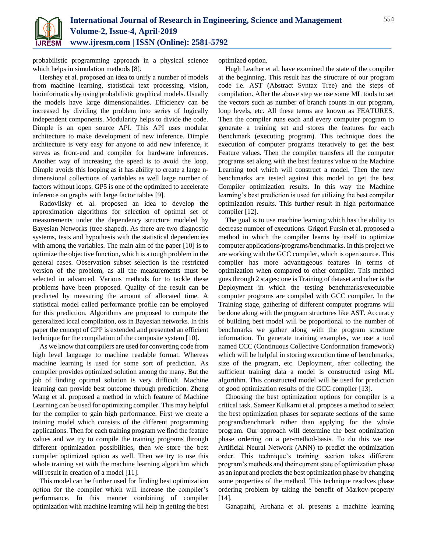

probabilistic programming approach in a physical science which helps in simulation methods [8].

Hershey et al. proposed an idea to unify a number of models from machine learning, statistical text processing, vision, bioinformatics by using probabilistic graphical models. Usually the models have large dimensionalities. Efficiency can be increased by dividing the problem into series of logically independent components. Modularity helps to divide the code. Dimple is an open source API. This API uses modular architecture to make development of new inference. Dimple architecture is very easy for anyone to add new inference, it serves as front-end and compiler for hardware inferences. Another way of increasing the speed is to avoid the loop. Dimple avoids this looping as it has ability to create a large ndimensional collections of variables as well large number of factors without loops. GP5 is one of the optimized to accelerate inference on graphs with large factor tables [9].

Radovilsky et. al. proposed an idea to develop the approximation algorithms for selection of optimal set of measurements under the dependency structure modeled by Bayesian Networks (tree-shaped). As there are two diagnostic systems, tests and hypothesis with the statistical dependencies with among the variables. The main aim of the paper [10] is to optimize the objective function, which is a tough problem in the general cases. Observation subset selection is the restricted version of the problem, as all the measurements must be selected in advanced. Various methods for to tackle these problems have been proposed. Quality of the result can be predicted by measuring the amount of allocated time. A statistical model called performance profile can be employed for this prediction. Algorithms are proposed to compute the generalized local compilation, oss in Bayesian networks. In this paper the concept of CPP is extended and presented an efficient technique for the compilation of the composite system [10].

As we know that compilers are used for converting code from high level language to machine readable format. Whereas machine learning is used for some sort of prediction. As compiler provides optimized solution among the many. But the job of finding optimal solution is very difficult. Machine learning can provide best outcome through prediction. Zheng Wang et al. proposed a method in which feature of Machine Learning can be used for optimizing compiler. This may helpful for the compiler to gain high performance. First we create a training model which consists of the different programming applications. Then for each training program we find the feature values and we try to compile the training programs through different optimization possibilities, then we store the best compiler optimized option as well. Then we try to use this whole training set with the machine learning algorithm which will result in creation of a model [11].

This model can be further used for finding best optimization option for the compiler which will increase the compiler's performance. In this manner combining of compiler optimization with machine learning will help in getting the best optimized option.

Hugh Leather et al. have examined the state of the compiler at the beginning. This result has the structure of our program code i.e. AST (Abstract Syntax Tree) and the steps of compilation. After the above step we use some ML tools to set the vectors such as number of branch counts in our program, loop levels, etc. All these terms are known as FEATURES. Then the compiler runs each and every computer program to generate a training set and stores the features for each Benchmark (executing program). This technique does the execution of computer programs iteratively to get the best Feature values. Then the compiler transfers all the computer programs set along with the best features value to the Machine Learning tool which will construct a model. Then the new benchmarks are tested against this model to get the best Compiler optimization results. In this way the Machine learning's best prediction is used for utilizing the best compiler optimization results. This further result in high performance compiler [12].

The goal is to use machine learning which has the ability to decrease number of executions. Grigori Fursin et al. proposed a method in which the compiler learns by itself to optimize computer applications/programs/benchmarks. In this project we are working with the GCC compiler, which is open source. This compiler has more advantageous features in terms of optimization when compared to other compiler. This method goes through 2 stages: one is Training of dataset and other is the Deployment in which the testing benchmarks/executable computer programs are compiled with GCC compiler. In the Training stage, gathering of different computer programs will be done along with the program structures like AST. Accuracy of building best model will be proportional to the number of benchmarks we gather along with the program structure information. To generate training examples, we use a tool named CCC (Continuous Collective Conformation framework) which will be helpful in storing execution time of benchmarks, size of the program, etc. Deployment, after collecting the sufficient training data a model is constructed using ML algorithm. This constructed model will be used for prediction of good optimization results of the GCC compiler [13].

Choosing the best optimization options for compiler is a critical task. Sameer Kulkarni et al. proposes a method to select the best optimization phases for separate sections of the same program/benchmark rather than applying for the whole program. Our approach will determine the best optimization phase ordering on a per-method-basis. To do this we use Artificial Neural Network (ANN) to predict the optimization order. This technique's training section takes different program's methods and their current state of optimization phase as an input and predicts the best optimization phase by changing some properties of the method. This technique resolves phase ordering problem by taking the benefit of Markov-property [14].

Ganapathi, Archana et al. presents a machine learning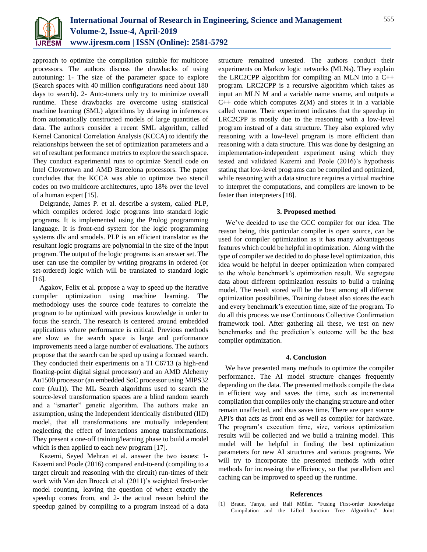

approach to optimize the compilation suitable for multicore processors. The authors discuss the drawbacks of using autotuning: 1- The size of the parameter space to explore (Search spaces with 40 million configurations need about 180 days to search). 2- Auto-tuners only try to minimize overall runtime. These drawbacks are overcome using statistical machine learning (SML) algorithms by drawing in inferences from automatically constructed models of large quantities of data. The authors consider a recent SML algorithm, called Kernel Canonical Correlation Analysis (KCCA) to identify the relationships between the set of optimization parameters and a set of resultant performance metrics to explore the search space. They conduct experimental runs to optimize Stencil code on Intel Clovertown and AMD Barcelona processors. The paper concludes that the KCCA was able to optimize two stencil codes on two multicore architectures, upto 18% over the level of a human expert [15].

Delgrande, James P. et al. describe a system, called PLP, which compiles ordered logic programs into standard logic programs. It is implemented using the Prolog programming language. It is front-end system for the logic programming systems dlv and smodels. PLP is an efficient translator as the resultant logic programs are polynomial in the size of the input program. The output of the logic programs is an answer set. The user can use the compiler by writing programs in ordered (or set-ordered) logic which will be translated to standard logic [16].

Agakov, Felix et al. propose a way to speed up the iterative compiler optimization using machine learning. The methodology uses the source code features to correlate the program to be optimized with previous knowledge in order to focus the search. The research is centered around embedded applications where performance is critical. Previous methods are slow as the search space is large and performance improvements need a large number of evaluations. The authors propose that the search can be sped up using a focused search. They conducted their experiments on a TI C6713 (a high-end floating-point digital signal processor) and an AMD Alchemy Au1500 processor (an embedded SoC processor using MIPS32 core (Au1)). The ML Search algorithms used to search the source-level transformation spaces are a blind random search and a "smarter" genetic algorithm. The authors make an assumption, using the Independent identically distributed (IID) model, that all transformations are mutually independent neglecting the effect of interactions among transformations. They present a one-off training/learning phase to build a model which is then applied to each new program [17].

Kazemi, Seyed Mehran et al. answer the two issues: 1- Kazemi and Poole (2016) compared end-to-end (compiling to a target circuit and reasoning with the circuit) run-times of their work with Van den Broeck et al. (2011)'s weighted first-order model counting, leaving the question of where exactly the speedup comes from, and 2- the actual reason behind the speedup gained by compiling to a program instead of a data structure remained untested. The authors conduct their experiments on Markov logic networks (MLNs). They explain the LRC2CPP algorithm for compiling an MLN into a C++ program. LRC2CPP is a recursive algorithm which takes as input an MLN M and a variable name vname, and outputs a  $C++$  code which computes  $Z(M)$  and stores it in a variable called vname. Their experiment indicates that the speedup in LRC2CPP is mostly due to the reasoning with a low-level program instead of a data structure. They also explored why reasoning with a low-level program is more efficient than reasoning with a data structure. This was done by designing an implementation-independent experiment using which they tested and validated Kazemi and Poole (2016)'s hypothesis stating that low-level programs can be compiled and optimized, while reasoning with a data structure requires a virtual machine to interpret the computations, and compilers are known to be faster than interpreters [18].

# **3. Proposed method**

We've decided to use the GCC compiler for our idea. The reason being, this particular compiler is open source, can be used for compiler optimization as it has many advantageous features which could be helpful in optimization. Along with the type of compiler we decided to do phase level optimization, this idea would be helpful in deeper optimization when compared to the whole benchmark's optimization result. We segregate data about different optimization ressults to build a training model. The result stored will be the best among all different optimization possibilities. Training dataset also stores the each and every benchmark's execution time, size of the program. To do all this process we use Continuous Collective Confirmation framework tool. After gathering all these, we test on new benchmarks and the prediction's outcome will be the best compiler optimization.

# **4. Conclusion**

We have presented many methods to optimize the compiler performance. The AI model structure changes frequently depending on the data. The presented methods compile the data in efficient way and saves the time, such as incremental compilation that compiles only the changing structure and other remain unaffected, and thus saves time. There are open source API's that acts as front end as well as compiler for hardware. The program's execution time, size, various optimization results will be collected and we build a training model. This model will be helpful in finding the best optimization parameters for new AI structures and various programs. We will try to incorporate the presented methods with other methods for increasing the efficiency, so that parallelism and caching can be improved to speed up the runtime.

# **References**

[1] Braun, Tanya, and Ralf Möller. "Fusing First-order Knowledge Compilation and the Lifted Junction Tree Algorithm." Joint